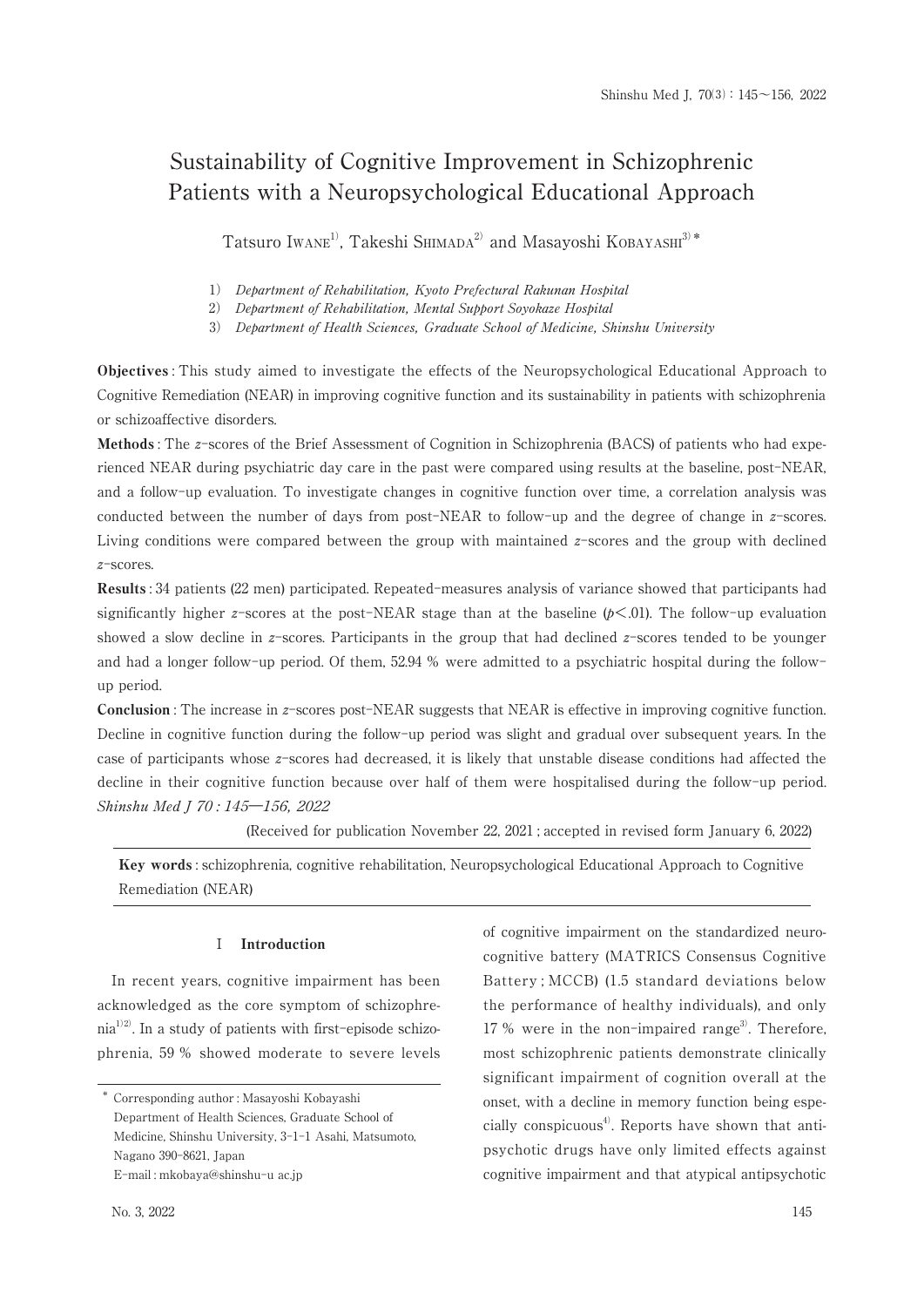# Sustainability of Cognitive Improvement in Schizophrenic Patients with a Neuropsychological Educational Approach

Tatsuro Iwane<sup>1</sup>, Takeshi Shimapa<sup>2</sup> and Masayoshi KOBAYASHI<sup>3)\*</sup>

1) Department of Rehabilitation, Kyoto Prefectural Rakunan Hospital

2) Department of Rehabilitation, Mental Support Soyokaze Hospital

3) Department of Health Sciences, Graduate School of Medicine, Shinshu University

**Objectives**: This study aimed to investigate the effects of the Neuropsychological Educational Approach to Cognitive Remediation (NEAR) in improving cognitive function and its sustainability in patients with schizophrenia or schizoaffective disorders.

Methods: The z-scores of the Brief Assessment of Cognition in Schizophrenia (BACS) of patients who had experienced NEAR during psychiatric day care in the past were compared using results at the baseline, post-NEAR, and a follow-up evaluation. To investigate changes in cognitive function over time, a correlation analysis was conducted between the number of days from post-NEAR to follow-up and the degree of change in z-scores. Living conditions were compared between the group with maintained  $z$ -scores and the group with declined  $z$ -scores.

**Results**: 34 patients (22 men) participated. Repeated-measures analysis of variance showed that participants had significantly higher z-scores at the post-NEAR stage than at the baseline  $(p<.01)$ . The follow-up evaluation showed a slow decline in z-scores. Participants in the group that had declined z-scores tended to be younger and had a longer follow-up period. Of them, 52.94 % were admitted to a psychiatric hospital during the followup period.

**Conclusion**: The increase in z-scores post-NEAR suggests that NEAR is effective in improving cognitive function. Decline in cognitive function during the follow-up period was slight and gradual over subsequent years. In the case of participants whose z-scores had decreased, it is likely that unstable disease conditions had affected the decline in their cognitive function because over half of them were hospitalised during the follow-up period. Shinshu Med J 70:145-156, 2022

(Received for publication November 22, 2021; accepted in revised form January 6, 2022)

**Key words**: schizophrenia, cognitive rehabilitation, Neuropsychological Educational Approach to Cognitive Remediation (NEAR)

#### $\mathbf I$ Introduction

In recent years, cognitive impairment has been acknowledged as the core symptom of schizophre- $\text{nia}^{1/2}$ . In a study of patients with first-episode schizophrenia, 59 % showed moderate to severe levels

No. 3, 2022

of cognitive impairment on the standardized neurocognitive battery (MATRICS Consensus Cognitive Battery: MCCB) (1.5 standard deviations below the performance of healthy individuals), and only 17 % were in the non-impaired range<sup>3)</sup>. Therefore, most schizophrenic patients demonstrate clinically significant impairment of cognition overall at the onset, with a decline in memory function being especially conspicuous<sup>4)</sup>. Reports have shown that antipsychotic drugs have only limited effects against cognitive impairment and that atypical antipsychotic

<sup>\*</sup> Corresponding author: Masayoshi Kobayashi Department of Health Sciences, Graduate School of Medicine, Shinshu University, 3-1-1 Asahi, Matsumoto, Nagano 390-8621, Japan E-mail: mkobaya@shinshu-u ac.jp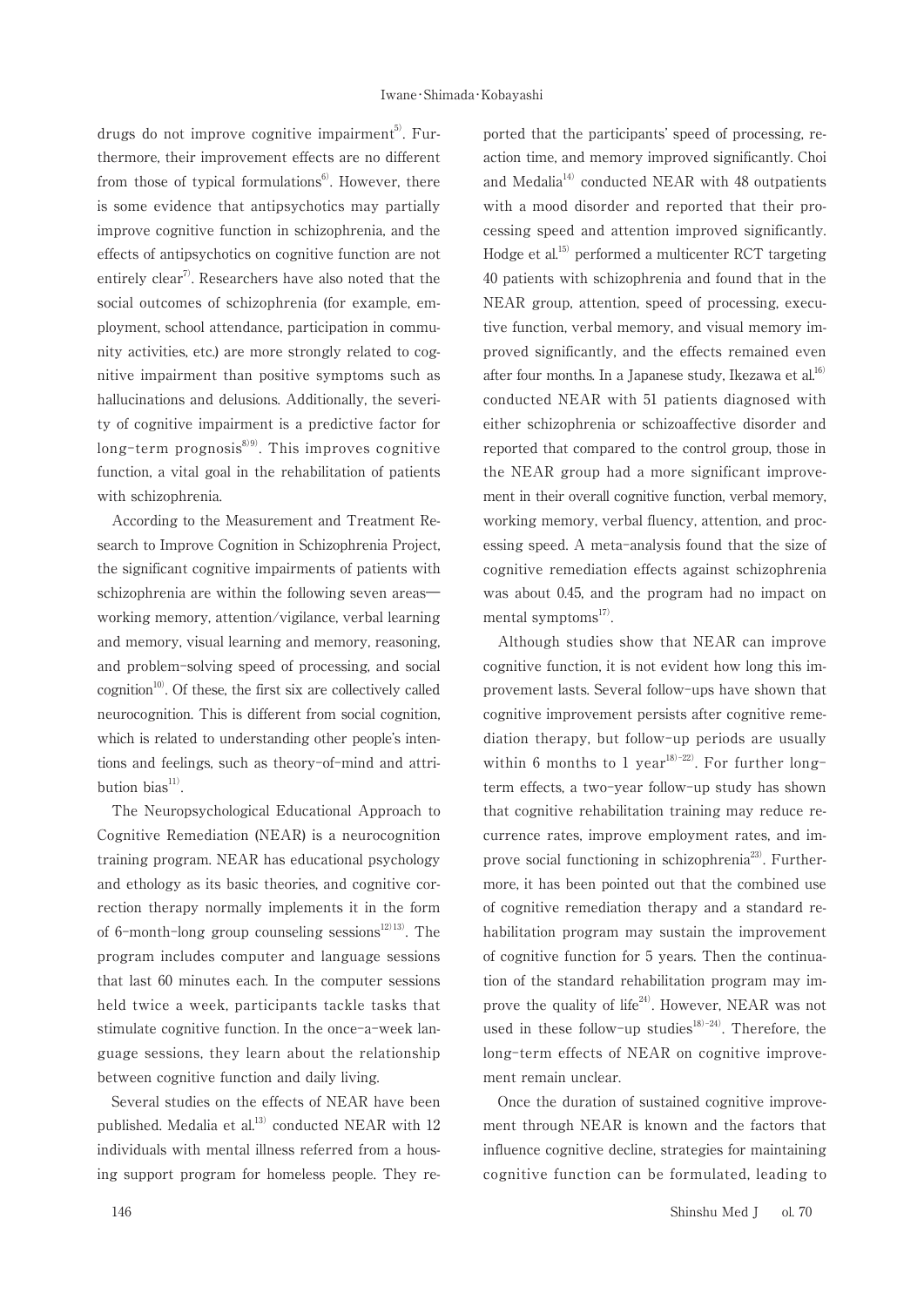drugs do not improve cognitive impairment<sup>5)</sup>. Furthermore, their improvement effects are no different from those of typical formulations<sup>6</sup>. However, there is some evidence that antipsychotics may partially improve cognitive function in schizophrenia, and the effects of antipsychotics on cognitive function are not entirely clear<sup>7</sup>. Researchers have also noted that the social outcomes of schizophrenia (for example, employment, school attendance, participation in community activities, etc.) are more strongly related to cognitive impairment than positive symptoms such as hallucinations and delusions. Additionally, the severity of cognitive impairment is a predictive factor for long-term prognosis $^{8(9)}$ . This improves cognitive function, a vital goal in the rehabilitation of patients with schizophrenia.

According to the Measurement and Treatment Research to Improve Cognition in Schizophrenia Project, the significant cognitive impairments of patients with schizophrenia are within the following seven areasworking memory, attention/vigilance, verbal learning and memory, visual learning and memory, reasoning, and problem-solving speed of processing, and social cognition<sup>10)</sup>. Of these, the first six are collectively called neurocognition. This is different from social cognition. which is related to understanding other people's intentions and feelings, such as theory-of-mind and attribution bias<sup>11)</sup>.

The Neuropsychological Educational Approach to Cognitive Remediation (NEAR) is a neurocognition training program. NEAR has educational psychology and ethology as its basic theories, and cognitive correction therapy normally implements it in the form of 6-month-long group counseling sessions<sup>12/13</sup>. The program includes computer and language sessions that last 60 minutes each. In the computer sessions held twice a week, participants tackle tasks that stimulate cognitive function. In the once-a-week language sessions, they learn about the relationship between cognitive function and daily living.

Several studies on the effects of NEAR have been published. Medalia et al.<sup>13)</sup> conducted NEAR with 12 individuals with mental illness referred from a housing support program for homeless people. They reported that the participants' speed of processing, reaction time, and memory improved significantly. Choi and Medalia<sup>14)</sup> conducted NEAR with 48 outpatients with a mood disorder and reported that their processing speed and attention improved significantly. Hodge et al.<sup>15)</sup> performed a multicenter RCT targeting 40 patients with schizophrenia and found that in the NEAR group, attention, speed of processing, executive function, verbal memory, and visual memory improved significantly, and the effects remained even after four months. In a Japanese study, Ikezawa et al.<sup>16)</sup> conducted NEAR with 51 patients diagnosed with either schizophrenia or schizoaffective disorder and reported that compared to the control group, those in the NEAR group had a more significant improvement in their overall cognitive function, verbal memory, working memory, verbal fluency, attention, and processing speed. A meta-analysis found that the size of cognitive remediation effects against schizophrenia was about 0.45, and the program had no impact on mental symptoms<sup>17)</sup>.

Although studies show that NEAR can improve cognitive function, it is not evident how long this improvement lasts. Several follow-ups have shown that cognitive improvement persists after cognitive remediation therapy, but follow-up periods are usually within 6 months to 1 year<sup>18)-22)</sup>. For further longterm effects, a two-year follow-up study has shown that cognitive rehabilitation training may reduce recurrence rates, improve employment rates, and improve social functioning in schizophrenia<sup>23)</sup>. Furthermore, it has been pointed out that the combined use of cognitive remediation therapy and a standard rehabilitation program may sustain the improvement of cognitive function for 5 years. Then the continuation of the standard rehabilitation program may improve the quality of life<sup>24</sup>. However, NEAR was not used in these follow-up studies<sup>18)-24)</sup>. Therefore, the long-term effects of NEAR on cognitive improvement remain unclear.

Once the duration of sustained cognitive improvement through NEAR is known and the factors that influence cognitive decline, strategies for maintaining cognitive function can be formulated, leading to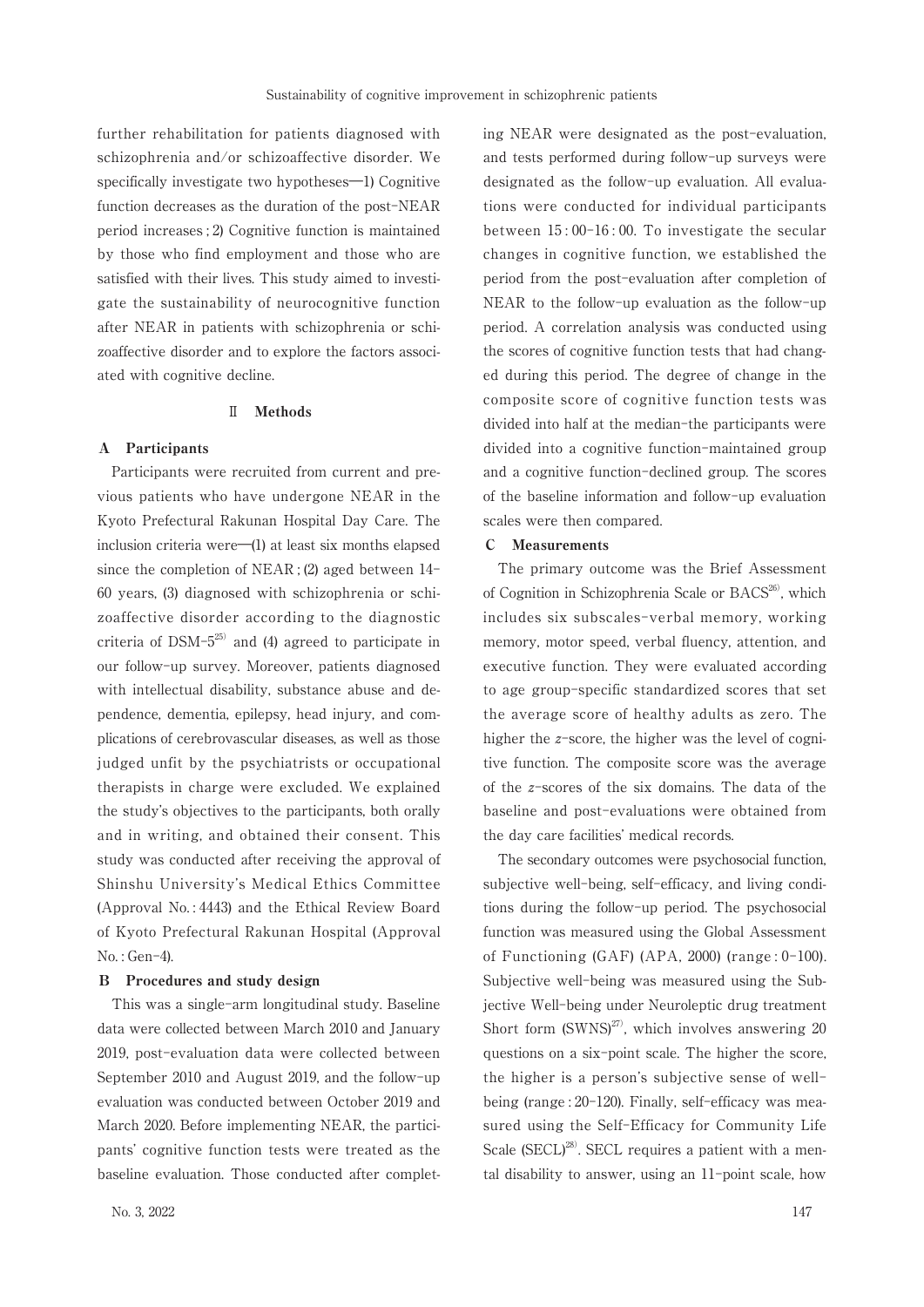further rehabilitation for patients diagnosed with schizophrenia and/or schizoaffective disorder. We specifically investigate two hypotheses—1) Cognitive function decreases as the duration of the post-NEAR period increases; 2) Cognitive function is maintained by those who find employment and those who are satisfied with their lives. This study aimed to investigate the sustainability of neurocognitive function after NEAR in patients with schizophrenia or schizoaffective disorder and to explore the factors associated with cognitive decline.

#### $\mathbb{I}$ **Methods**

### A Participants

Participants were recruited from current and previous patients who have undergone NEAR in the Kyoto Prefectural Rakunan Hospital Day Care. The inclusion criteria were-(1) at least six months elapsed since the completion of NEAR; (2) aged between  $14$ -60 years, (3) diagnosed with schizophrenia or schizoaffective disorder according to the diagnostic criteria of DSM- $5^{25}$  and (4) agreed to participate in our follow-up survey. Moreover, patients diagnosed with intellectual disability, substance abuse and dependence, dementia, epilepsy, head injury, and complications of cerebrovascular diseases, as well as those judged unfit by the psychiatrists or occupational therapists in charge were excluded. We explained the study's objectives to the participants, both orally and in writing, and obtained their consent. This study was conducted after receiving the approval of Shinshu University's Medical Ethics Committee (Approval No.: 4443) and the Ethical Review Board of Kyoto Prefectural Rakunan Hospital (Approval  $No.: Gen-4).$ 

### **B** Procedures and study design

This was a single-arm longitudinal study. Baseline data were collected between March 2010 and January 2019, post-evaluation data were collected between September 2010 and August 2019, and the follow-up evaluation was conducted between October 2019 and March 2020. Before implementing NEAR, the participants' cognitive function tests were treated as the baseline evaluation. Those conducted after completing NEAR were designated as the post-evaluation, and tests performed during follow-up surveys were designated as the follow-up evaluation. All evaluations were conducted for individual participants between  $15:00-16:00$ . To investigate the secular changes in cognitive function, we established the period from the post-evaluation after completion of NEAR to the follow-up evaluation as the follow-up period. A correlation analysis was conducted using the scores of cognitive function tests that had changed during this period. The degree of change in the composite score of cognitive function tests was divided into half at the median-the participants were divided into a cognitive function-maintained group and a cognitive function-declined group. The scores of the baseline information and follow-up evaluation scales were then compared.

#### C Measurements

The primary outcome was the Brief Assessment of Cognition in Schizophrenia Scale or BACS<sup>26</sup>, which includes six subscales-verbal memory, working memory, motor speed, verbal fluency, attention, and executive function. They were evaluated according to age group-specific standardized scores that set the average score of healthy adults as zero. The higher the  $z$ -score, the higher was the level of cognitive function. The composite score was the average of the z-scores of the six domains. The data of the baseline and post-evaluations were obtained from the day care facilities' medical records.

The secondary outcomes were psychosocial function. subjective well-being, self-efficacy, and living conditions during the follow-up period. The psychosocial function was measured using the Global Assessment of Functioning (GAF) (APA, 2000) (range:  $0-100$ ). Subjective well-being was measured using the Subjective Well-being under Neuroleptic drug treatment Short form (SWNS)<sup>27)</sup>, which involves answering 20 questions on a six-point scale. The higher the score, the higher is a person's subjective sense of wellbeing (range: 20-120). Finally, self-efficacy was measured using the Self-Efficacy for Community Life Scale (SECL)<sup>28)</sup>. SECL requires a patient with a mental disability to answer, using an 11-point scale, how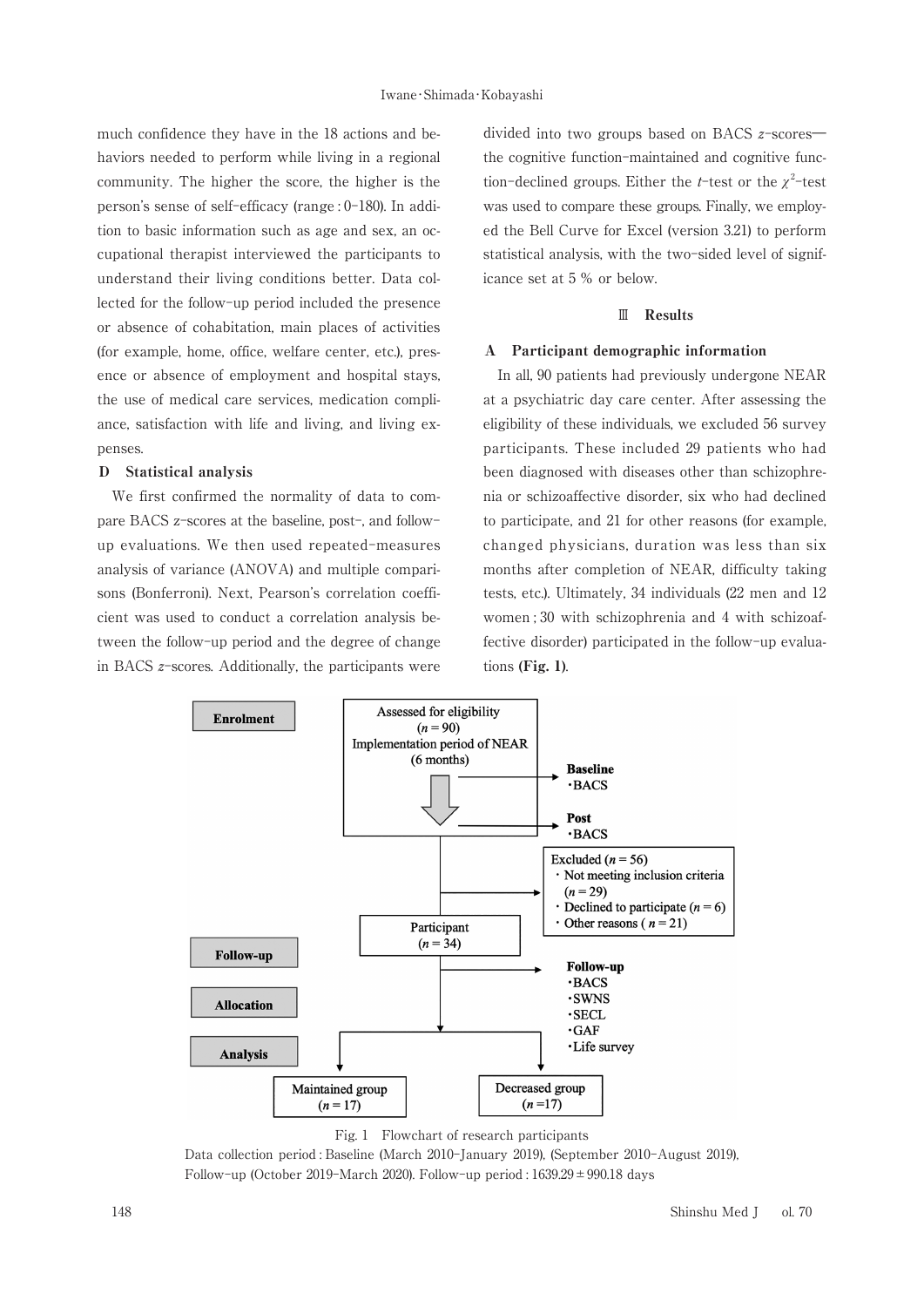much confidence they have in the 18 actions and behaviors needed to perform while living in a regional community. The higher the score, the higher is the person's sense of self-efficacy (range: 0-180). In addition to basic information such as age and sex, an occupational therapist interviewed the participants to understand their living conditions better. Data collected for the follow-up period included the presence or absence of cohabitation, main places of activities (for example, home, office, welfare center, etc.), presence or absence of employment and hospital stays, the use of medical care services, medication compliance, satisfaction with life and living, and living expenses.

#### D Statistical analysis

We first confirmed the normality of data to compare BACS z-scores at the baseline, post-, and followup evaluations. We then used repeated-measures analysis of variance (ANOVA) and multiple comparisons (Bonferroni). Next. Pearson's correlation coefficient was used to conduct a correlation analysis between the follow-up period and the degree of change in BACS  $z$ -scores. Additionally, the participants were

divided into two groups based on BACS  $z$ -scoresthe cognitive function-maintained and cognitive function-declined groups. Either the *t*-test or the  $\chi^2$ -test was used to compare these groups. Finally, we employed the Bell Curve for Excel (version 3.21) to perform statistical analysis, with the two-sided level of significance set at 5 % or below.

# $\mathbb{I}$  Results

#### A Participant demographic information

In all, 90 patients had previously undergone NEAR at a psychiatric day care center. After assessing the eligibility of these individuals, we excluded 56 survey participants. These included 29 patients who had been diagnosed with diseases other than schizophrenia or schizoaffective disorder, six who had declined to participate, and 21 for other reasons (for example, changed physicians, duration was less than six months after completion of NEAR, difficulty taking tests, etc.). Ultimately, 34 individuals (22 men and 12 women; 30 with schizophrenia and 4 with schizoaffective disorder) participated in the follow-up evaluations (Fig.  $1$ ).



Fig. 1 Flowchart of research participants

Data collection period : Baseline (March 2010-January 2019), (September 2010-August 2019), Follow-up (October 2019-March 2020). Follow-up period: 1639.29 ± 990.18 days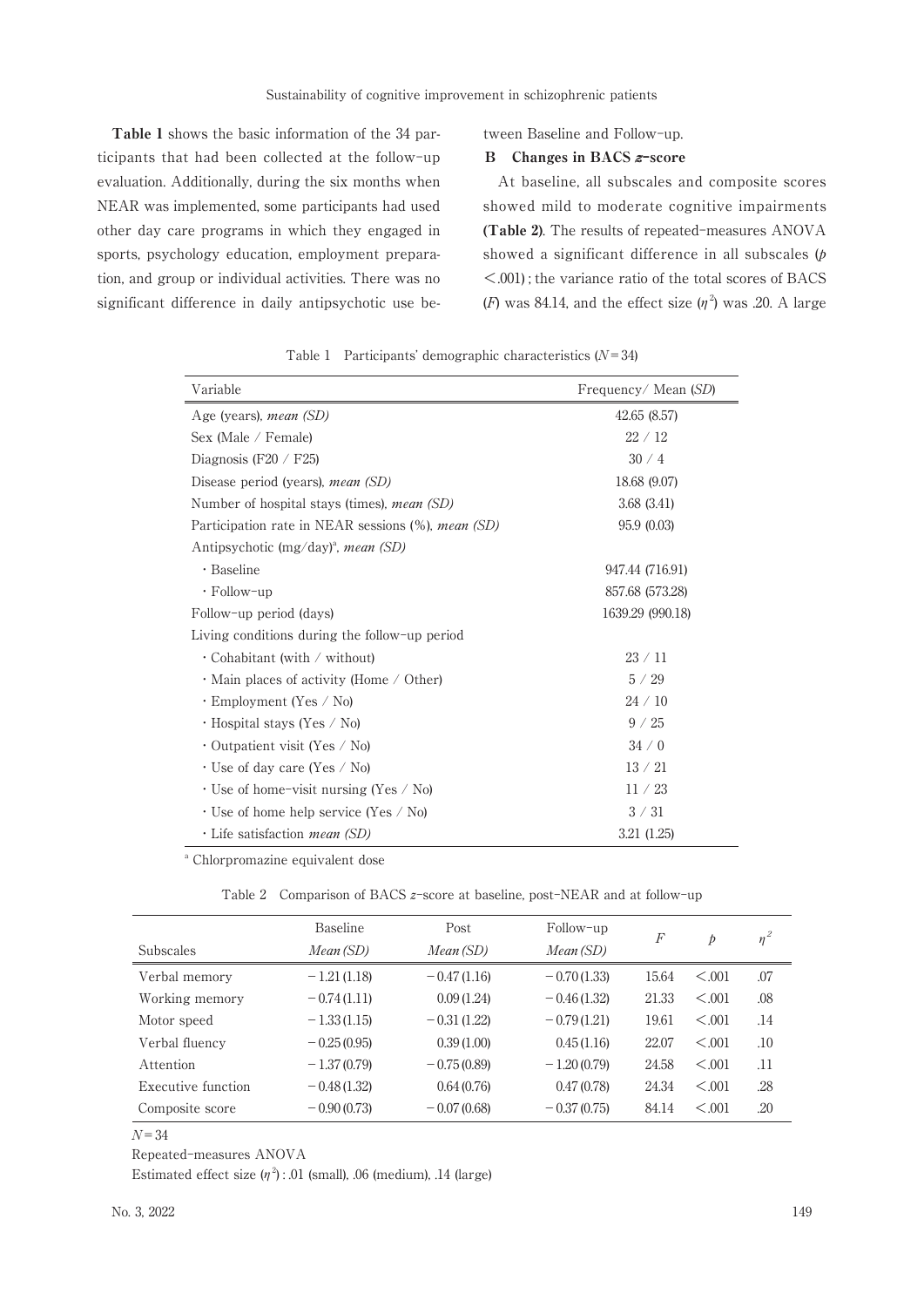Table 1 shows the basic information of the 34 participants that had been collected at the follow-up evaluation. Additionally, during the six months when NEAR was implemented, some participants had used other day care programs in which they engaged in sports, psychology education, employment preparation, and group or individual activities. There was no significant difference in daily antipsychotic use between Baseline and Follow-up.

#### Changes in BACS z-score  $\bf{B}$

At baseline, all subscales and composite scores showed mild to moderate cognitive impairments (Table 2). The results of repeated-measures ANOVA showed a significant difference in all subscales  $(p)$  $\leq$ .001); the variance ratio of the total scores of BACS (F) was 84.14, and the effect size  $(\eta^2)$  was .20. A large

| Variable                                                  | Frequency/Mean (SD) |
|-----------------------------------------------------------|---------------------|
| Age (years), <i>mean (SD)</i>                             | 42.65 (8.57)        |
| Sex (Male / Female)                                       | 22/12               |
| Diagnosis (F20 / F25)                                     | 30/4                |
| Disease period (years), <i>mean</i> (SD)                  | 18.68 (9.07)        |
| Number of hospital stays (times), <i>mean</i> (SD)        | 3.68(3.41)          |
| Participation rate in NEAR sessions (%), <i>mean (SD)</i> | 95.9 (0.03)         |
| Antipsychotic (mg/day) <sup>a</sup> , mean (SD)           |                     |
| · Baseline                                                | 947.44 (716.91)     |
| $\cdot$ Follow-up                                         | 857.68 (573.28)     |
| Follow-up period (days)                                   | 1639.29 (990.18)    |
| Living conditions during the follow-up period             |                     |
| $\cdot$ Cohabitant (with / without)                       | 23/11               |
| $\cdot$ Main places of activity (Home / Other)            | 5/29                |
| $\cdot$ Employment (Yes / No)                             | 24/10               |
| ⋅ Hospital stays (Yes / No)                               | 9 / 25              |
| • Outpatient visit (Yes / No)                             | 34/0                |
| $\cdot$ Use of day care (Yes / No)                        | 13/21               |
| $\cdot$ Use of home-visit nursing (Yes / No)              | 11 / 23             |
| · Use of home help service (Yes / No)                     | $3 \times 31$       |
| $\cdot$ Life satisfaction <i>mean</i> (SD)                | 3.21(1.25)          |

Table 1 Participants' demographic characteristics  $(N=34)$ 

<sup>a</sup> Chlorpromazine equivalent dose

Table 2 Comparison of BACS z-score at baseline, post-NEAR and at follow-up

| <b>Subscales</b>   | Baseline<br>Mean (SD) | Post<br>Mean(SD) | Follow-up<br>Mean (SD) | F     | $\dot{p}$ | $\eta^2$ |
|--------------------|-----------------------|------------------|------------------------|-------|-----------|----------|
| Verbal memory      | $-1.21(1.18)$         | $-0.47(1.16)$    | $-0.70(1.33)$          | 15.64 | < 0.001   | .07      |
| Working memory     | $-0.74(1.11)$         | 0.09(1.24)       | $-0.46(1.32)$          | 21.33 | < 0.001   | .08      |
| Motor speed        | $-1.33(1.15)$         | $-0.31(1.22)$    | $-0.79(1.21)$          | 19.61 | < 0.001   | .14      |
| Verbal fluency     | $-0.25(0.95)$         | 0.39(1.00)       | 0.45(1.16)             | 22.07 | < 0.001   | .10      |
| Attention          | $-1.37(0.79)$         | $-0.75(0.89)$    | $-1.20(0.79)$          | 24.58 | < 0.001   | .11      |
| Executive function | $-0.48(1.32)$         | 0.64(0.76)       | 0.47(0.78)             | 24.34 | < 0.001   | .28      |
| Composite score    | $-0.90(0.73)$         | $-0.07(0.68)$    | $-0.37(0.75)$          | 84.14 | < 0.001   | .20      |

 $N = 34$ 

Repeated-measures ANOVA

Estimated effect size  $(\eta^2)$ : 01 (small), 06 (medium), 14 (large)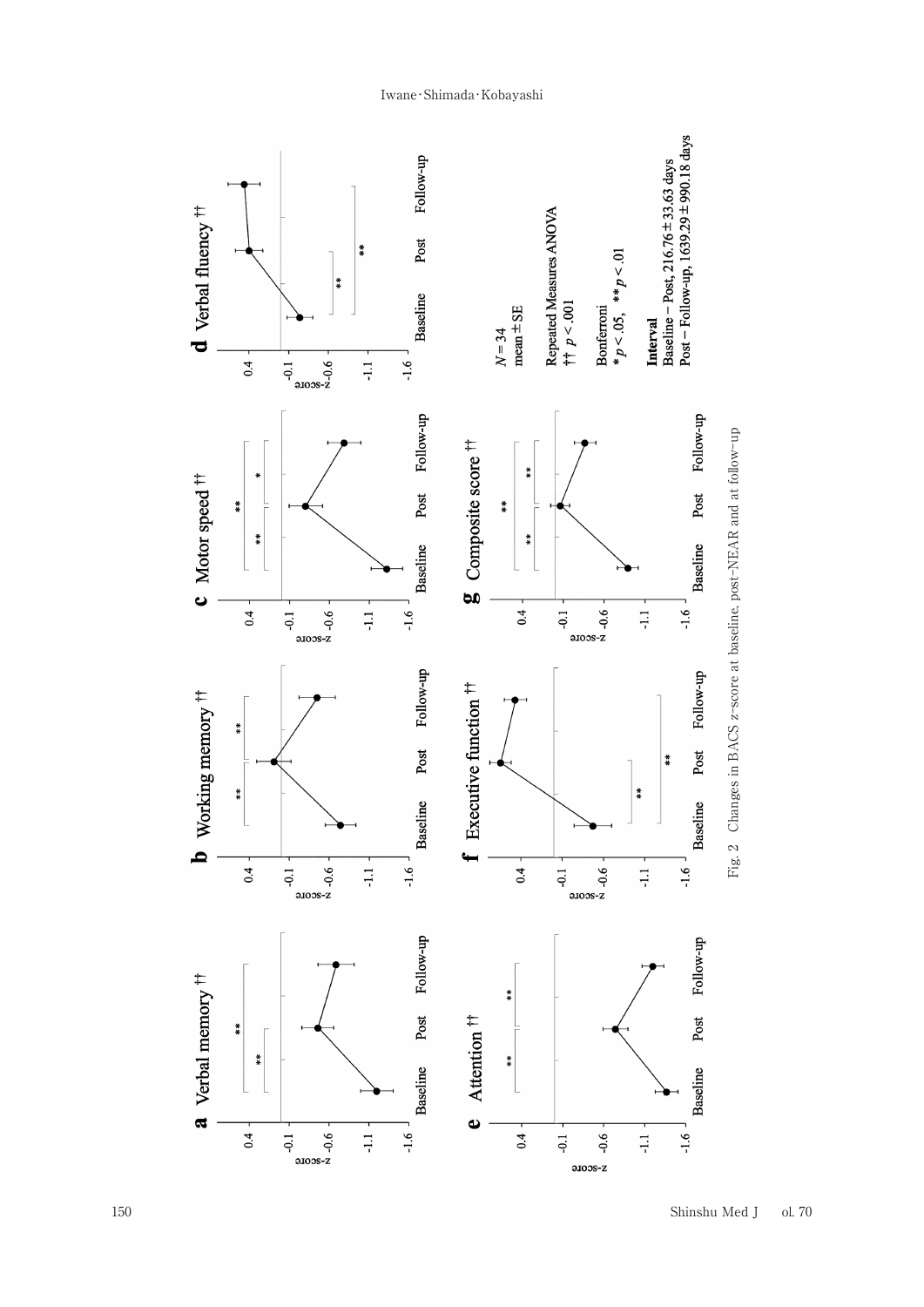

# Iwane·Shimada·Kobayashi

Shinshu Med J ol. 70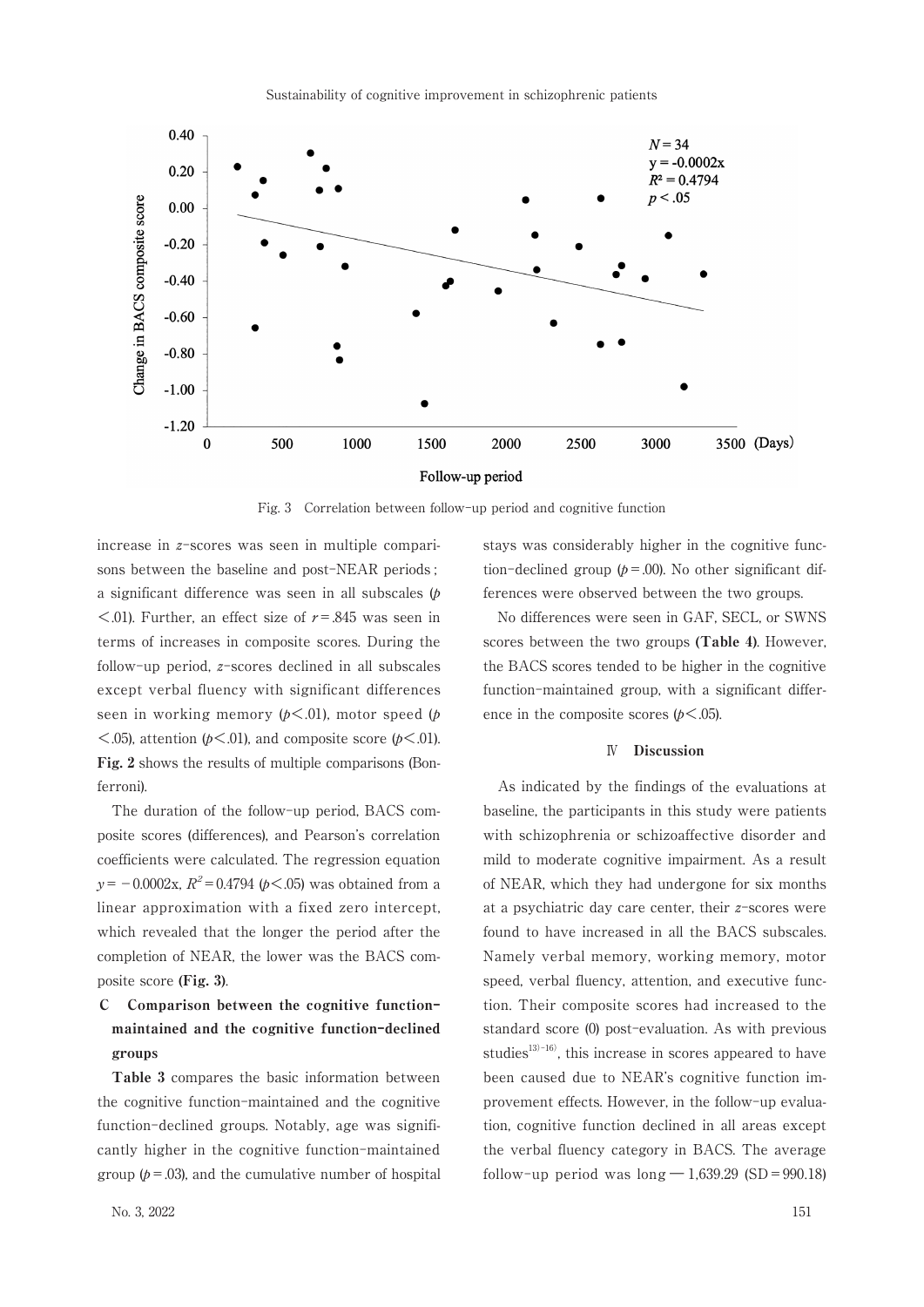

Fig. 3 Correlation between follow-up period and cognitive function

increase in z-scores was seen in multiple comparisons between the baseline and post-NEAR periods; a significant difference was seen in all subscales  $(p)$  $\leq$ .01). Further, an effect size of  $r = .845$  was seen in terms of increases in composite scores. During the follow-up period,  $z$ -scores declined in all subscales except verbal fluency with significant differences seen in working memory  $(b \le 0.01)$ , motor speed (*b*)  $\leq$ .05), attention ( $p \leq$ .01), and composite score ( $p \leq$ .01). Fig. 2 shows the results of multiple comparisons (Bonferroni).

The duration of the follow-up period. BACS composite scores (differences), and Pearson's correlation coefficients were calculated. The regression equation  $y = -0.0002x$ ,  $R^2 = 0.4794$  ( $p < .05$ ) was obtained from a linear approximation with a fixed zero intercept, which revealed that the longer the period after the completion of NEAR, the lower was the BACS composite score (Fig. 3).

#### $\mathbf{C}$ Comparison between the cognitive functionmaintained and the cognitive function-declined groups

Table 3 compares the basic information between the cognitive function-maintained and the cognitive function-declined groups. Notably, age was significantly higher in the cognitive function-maintained group ( $p = 0.03$ ), and the cumulative number of hospital stays was considerably higher in the cognitive function-declined group  $(p=.00)$ . No other significant differences were observed between the two groups.

No differences were seen in GAF, SECL, or SWNS scores between the two groups (Table 4). However, the BACS scores tended to be higher in the cognitive function-maintained group, with a significant difference in the composite scores  $(p<.05)$ .

### **IV** Discussion

As indicated by the findings of the evaluations at baseline, the participants in this study were patients with schizophrenia or schizoaffective disorder and mild to moderate cognitive impairment. As a result of NEAR, which they had undergone for six months at a psychiatric day care center, their  $z$ -scores were found to have increased in all the BACS subscales. Namely verbal memory, working memory, motor speed, verbal fluency, attention, and executive function. Their composite scores had increased to the standard score (0) post-evaluation. As with previous studies<sup>13)-16</sup>), this increase in scores appeared to have been caused due to NEAR's cognitive function improvement effects. However, in the follow-up evaluation, cognitive function declined in all areas except the verbal fluency category in BACS. The average follow-up period was  $\log -1.639.29$  (SD = 990.18)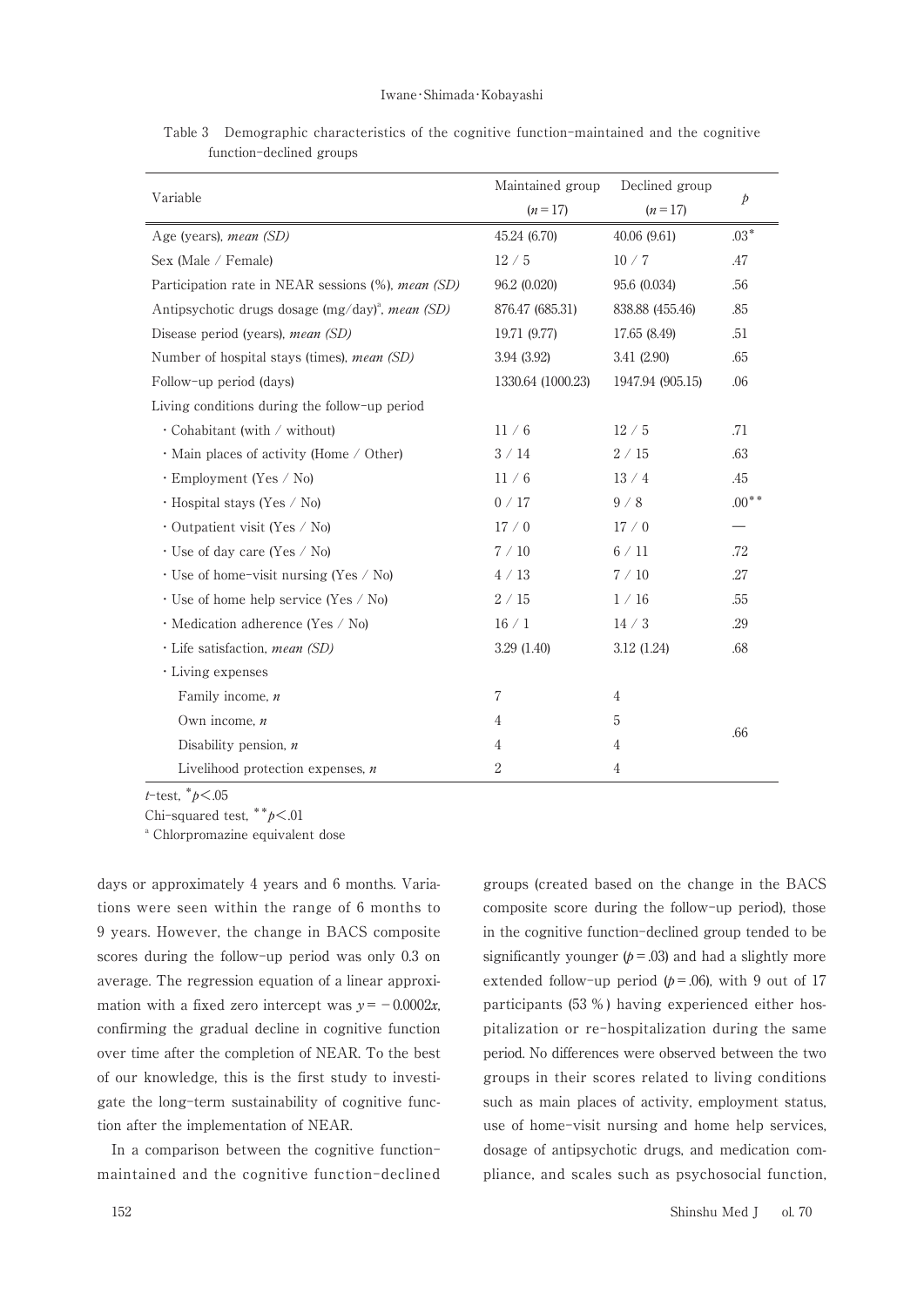#### Iwane·Shimada·Kobayashi

Table 3 Demographic characteristics of the cognitive function-maintained and the cognitive function-declined groups

| Variable                                              | Maintained group  | Declined group   | $\mathcal{P}$ |
|-------------------------------------------------------|-------------------|------------------|---------------|
|                                                       | $(n=17)$          | $(n=17)$         |               |
| Age (years), mean (SD)                                | 45.24 (6.70)      | 40.06 (9.61)     | $.03*$        |
| Sex (Male / Female)                                   | 12/5              | 10/7             | .47           |
| Participation rate in NEAR sessions (%), mean (SD)    | 96.2 (0.020)      | 95.6 (0.034)     | .56           |
| Antipsychotic drugs dosage $(mg/day)^{a}$ , mean (SD) | 876.47 (685.31)   | 838.88 (455.46)  | .85           |
| Disease period (years), mean (SD)                     | 19.71 (9.77)      | 17.65 (8.49)     | .51           |
| Number of hospital stays (times), mean (SD)           | 3.94 (3.92)       | 3.41 (2.90)      | .65           |
| Follow-up period (days)                               | 1330.64 (1000.23) | 1947.94 (905.15) | .06           |
| Living conditions during the follow-up period         |                   |                  |               |
| $\cdot$ Cohabitant (with / without)                   | 11/6              | 12/5             | .71           |
| $\cdot$ Main places of activity (Home / Other)        | 3/14              | 2/15             | .63           |
| $\cdot$ Employment (Yes / No)                         | 11/6              | 13/4             | .45           |
| $\cdot$ Hospital stays (Yes / No)                     | 0/17              | 9/8              | $.00**$       |
| $\cdot$ Outpatient visit (Yes / No)                   | 17/0              | 17/0             |               |
| $\cdot$ Use of day care (Yes / No)                    | 7/10              | 6/11             | .72           |
| · Use of home-visit nursing (Yes / No)                | 4/13              | 7/10             | .27           |
| $\cdot$ Use of home help service (Yes / No)           | 2/15              | 1/16             | .55           |
| · Medication adherence (Yes / No)                     | 16/1              | 14/3             | .29           |
| · Life satisfaction, <i>mean</i> (SD)                 | 3.29 (1.40)       | 3.12 (1.24)      | .68           |
| · Living expenses                                     |                   |                  |               |
| Family income, n                                      | 7                 | $\overline{4}$   |               |
| Own income, $n$                                       | 4                 | 5                |               |
| Disability pension, $n$                               | 4                 | 4                | .66           |
| Livelihood protection expenses, $n$                   | 2                 | 4                |               |

*t*-test,  $*_{p}$  <.05

Chi-squared test,  $**p < 01$ 

<sup>a</sup> Chlorpromazine equivalent dose

days or approximately 4 years and 6 months. Variations were seen within the range of 6 months to 9 years. However, the change in BACS composite scores during the follow-up period was only 0.3 on average. The regression equation of a linear approximation with a fixed zero intercept was  $y = -0.0002x$ , confirming the gradual decline in cognitive function over time after the completion of NEAR. To the best of our knowledge, this is the first study to investigate the long-term sustainability of cognitive function after the implementation of NEAR.

In a comparison between the cognitive functionmaintained and the cognitive function-declined groups (created based on the change in the BACS composite score during the follow-up period), those in the cognitive function-declined group tended to be significantly younger  $(p=.03)$  and had a slightly more extended follow-up period  $(p=.06)$ , with 9 out of 17 participants (53 %) having experienced either hospitalization or re-hospitalization during the same period. No differences were observed between the two groups in their scores related to living conditions such as main places of activity, employment status, use of home-visit nursing and home help services, dosage of antipsychotic drugs, and medication compliance, and scales such as psychosocial function,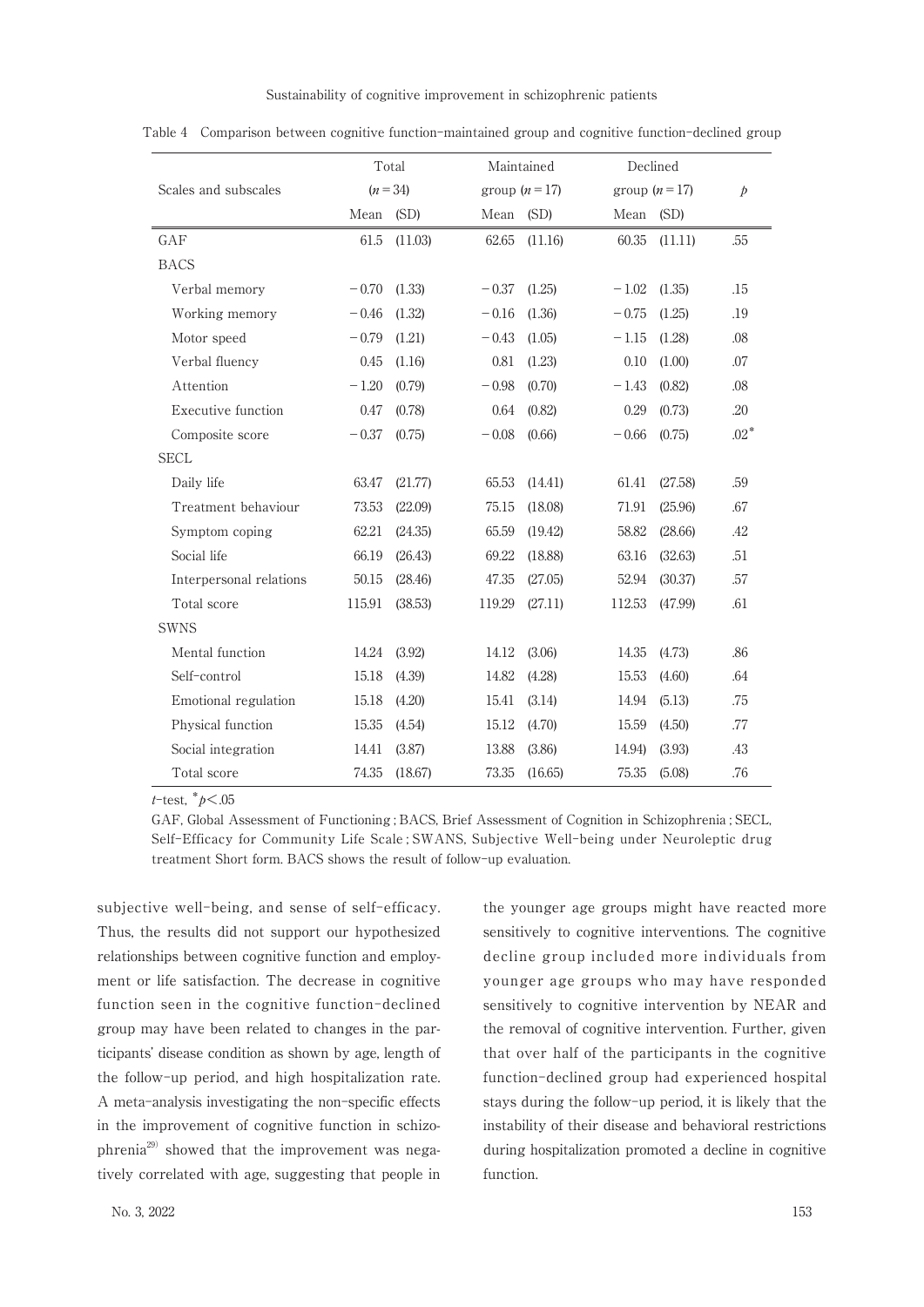Sustainability of cognitive improvement in schizophrenic patients

|                         | Total<br>Maintained |          |                | Declined |                |         |           |
|-------------------------|---------------------|----------|----------------|----------|----------------|---------|-----------|
| Scales and subscales    |                     | $(n=34)$ | group $(n=17)$ |          | group $(n=17)$ |         | $\dot{p}$ |
|                         | Mean (SD)           |          | Mean           | (SD)     | Mean           | (SD)    |           |
| GAF                     | 61.5                | (11.03)  | 62.65          | (11.16)  | 60.35          | (11.11) | .55       |
| <b>BACS</b>             |                     |          |                |          |                |         |           |
| Verbal memory           | $-0.70$             | (1.33)   | $-0.37$        | (1.25)   | $-1.02$        | (1.35)  | .15       |
| Working memory          | $-0.46$             | (1.32)   | $-0.16$        | (1.36)   | $-0.75$        | (1.25)  | .19       |
| Motor speed             | $-0.79$             | (1.21)   | $-0.43$        | (1.05)   | $-1.15$        | (1.28)  | .08       |
| Verbal fluency          | 0.45                | (1.16)   | 0.81           | (1.23)   | 0.10           | (1.00)  | .07       |
| Attention               | $-1.20$             | (0.79)   | $-0.98$        | (0.70)   | $- \, 1.43$    | (0.82)  | .08       |
| Executive function      | 0.47                | (0.78)   | 0.64           | (0.82)   | 0.29           | (0.73)  | .20       |
| Composite score         | $-0.37$             | (0.75)   | $-0.08$        | (0.66)   | $-0.66$        | (0.75)  | $.02*$    |
| <b>SECL</b>             |                     |          |                |          |                |         |           |
| Daily life              | 63.47               | (21.77)  | 65.53          | (14.41)  | 61.41          | (27.58) | .59       |
| Treatment behaviour     | 73.53               | (22.09)  | 75.15          | (18.08)  | 71.91          | (25.96) | .67       |
| Symptom coping          | 62.21               | (24.35)  | 65.59          | (19.42)  | 58.82          | (28.66) | .42       |
| Social life             | 66.19               | (26.43)  | 69.22          | (18.88)  | 63.16          | (32.63) | .51       |
| Interpersonal relations | 50.15               | (28.46)  | 47.35          | (27.05)  | 52.94          | (30.37) | .57       |
| Total score             | 115.91              | (38.53)  | 119.29         | (27.11)  | 112.53         | (47.99) | .61       |
| <b>SWNS</b>             |                     |          |                |          |                |         |           |
| Mental function         | 14.24               | (3.92)   | 14.12          | (3.06)   | 14.35          | (4.73)  | .86       |
| Self-control            | 15.18               | (4.39)   | 14.82          | (4.28)   | 15.53          | (4.60)  | .64       |
| Emotional regulation    | 15.18               | (4.20)   | 15.41          | (3.14)   | 14.94          | (5.13)  | .75       |
| Physical function       | 15.35               | (4.54)   | 15.12          | (4.70)   | 15.59          | (4.50)  | .77       |
| Social integration      | 14.41               | (3.87)   | 13.88          | (3.86)   | 14.94)         | (3.93)  | .43       |
| Total score             | 74.35               | (18.67)  | 73.35          | (16.65)  | 75.35          | (5.08)  | .76       |

Table 4 Comparison between cognitive function-maintained group and cognitive function-declined group

*t*-test,  $*_{p}$  < .05

GAF, Global Assessment of Functioning; BACS, Brief Assessment of Cognition in Schizophrenia; SECL, Self-Efficacy for Community Life Scale; SWANS, Subjective Well-being under Neuroleptic drug treatment Short form. BACS shows the result of follow-up evaluation.

subjective well-being, and sense of self-efficacy. Thus, the results did not support our hypothesized relationships between cognitive function and employment or life satisfaction. The decrease in cognitive function seen in the cognitive function-declined group may have been related to changes in the participants' disease condition as shown by age, length of the follow-up period, and high hospitalization rate. A meta-analysis investigating the non-specific effects in the improvement of cognitive function in schizophrenia<sup>29)</sup> showed that the improvement was negatively correlated with age, suggesting that people in

No. 3, 2022

the younger age groups might have reacted more sensitively to cognitive interventions. The cognitive decline group included more individuals from younger age groups who may have responded sensitively to cognitive intervention by NEAR and the removal of cognitive intervention. Further, given that over half of the participants in the cognitive function-declined group had experienced hospital stays during the follow-up period, it is likely that the instability of their disease and behavioral restrictions during hospitalization promoted a decline in cognitive function.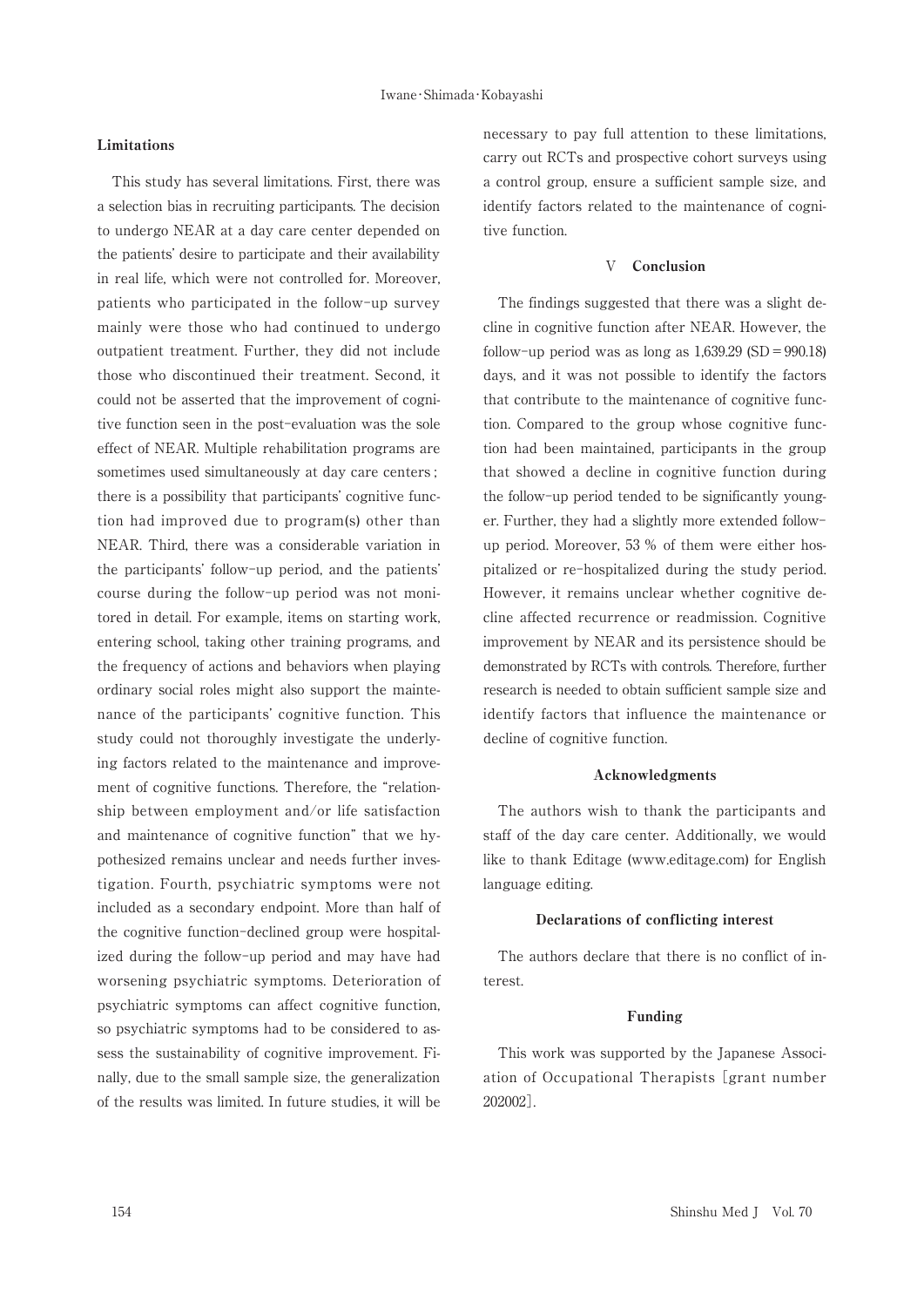# Limitations

This study has several limitations. First, there was a selection bias in recruiting participants. The decision to undergo NEAR at a day care center depended on the patients' desire to participate and their availability in real life, which were not controlled for. Moreover, patients who participated in the follow-up survey mainly were those who had continued to undergo outpatient treatment. Further, they did not include those who discontinued their treatment. Second, it could not be asserted that the improvement of cognitive function seen in the post-evaluation was the sole effect of NEAR. Multiple rehabilitation programs are sometimes used simultaneously at day care centers; there is a possibility that participants' cognitive function had improved due to program(s) other than NEAR. Third, there was a considerable variation in the participants' follow-up period, and the patients' course during the follow-up period was not monitored in detail. For example, items on starting work, entering school, taking other training programs, and the frequency of actions and behaviors when playing ordinary social roles might also support the maintenance of the participants' cognitive function. This study could not thoroughly investigate the underlying factors related to the maintenance and improvement of cognitive functions. Therefore, the "relationship between employment and/or life satisfaction and maintenance of cognitive function" that we hypothesized remains unclear and needs further investigation. Fourth, psychiatric symptoms were not included as a secondary endpoint. More than half of the cognitive function-declined group were hospitalized during the follow-up period and may have had worsening psychiatric symptoms. Deterioration of psychiatric symptoms can affect cognitive function, so psychiatric symptoms had to be considered to assess the sustainability of cognitive improvement. Finally, due to the small sample size, the generalization of the results was limited. In future studies, it will be

necessary to pay full attention to these limitations, carry out RCTs and prospective cohort surveys using a control group, ensure a sufficient sample size, and identify factors related to the maintenance of cognitive function.

#### Conclusion  $\overline{V}$

The findings suggested that there was a slight decline in cognitive function after NEAR, However, the follow-up period was as long as  $1,639.29$  (SD = 990.18) days, and it was not possible to identify the factors that contribute to the maintenance of cognitive function. Compared to the group whose cognitive function had been maintained, participants in the group that showed a decline in cognitive function during the follow-up period tended to be significantly younger. Further, they had a slightly more extended followup period. Moreover, 53 % of them were either hospitalized or re-hospitalized during the study period. However, it remains unclear whether cognitive decline affected recurrence or readmission. Cognitive improvement by NEAR and its persistence should be demonstrated by RCTs with controls. Therefore, further research is needed to obtain sufficient sample size and identify factors that influence the maintenance or decline of cognitive function.

#### Acknowledgments

The authors wish to thank the participants and staff of the day care center. Additionally, we would like to thank Editage (www.editage.com) for English language editing.

#### Declarations of conflicting interest

The authors declare that there is no conflict of interest

#### Funding

This work was supported by the Japanese Association of Occupational Therapists [grant number 202002].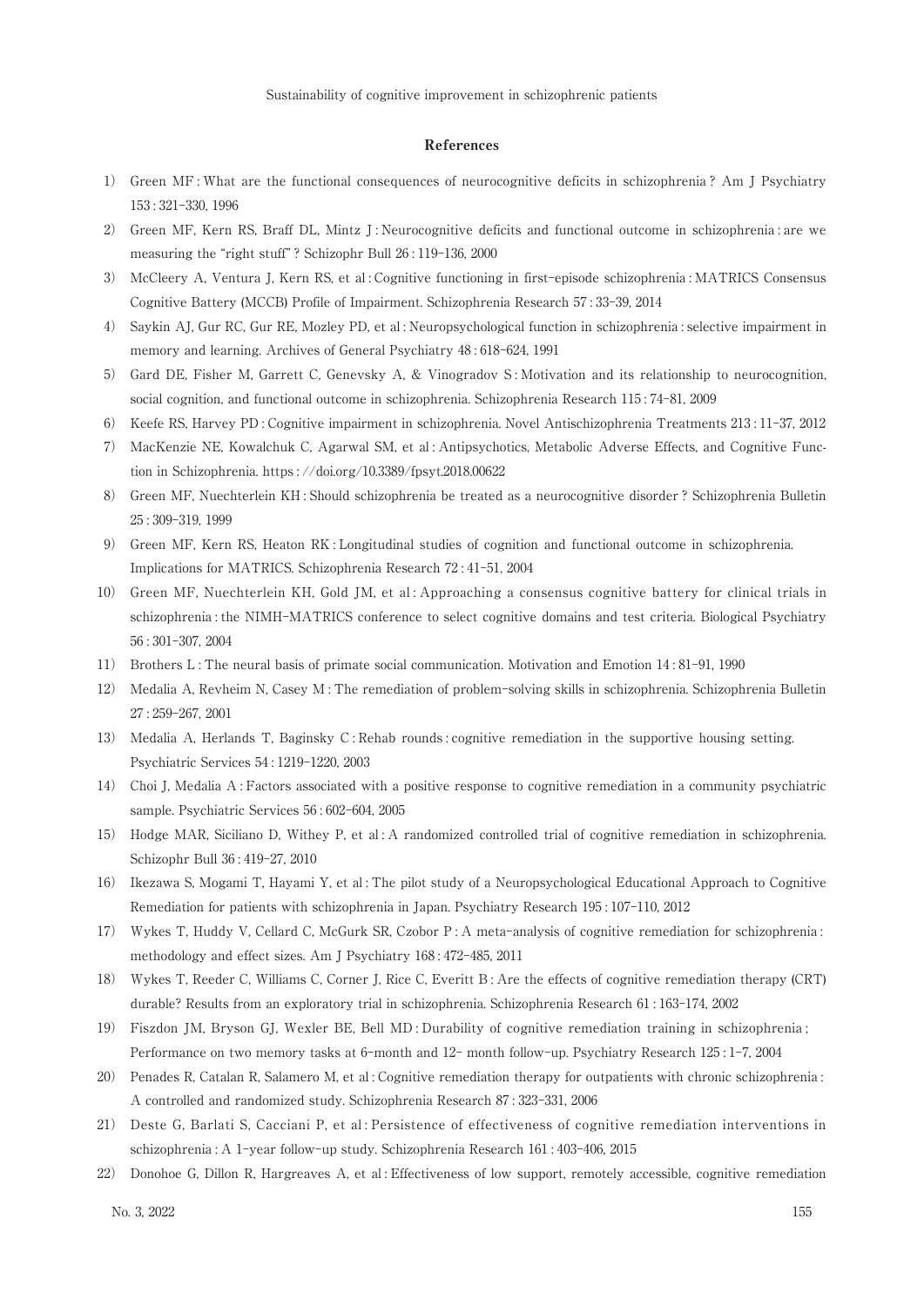#### References

- 1) Green MF: What are the functional consequences of neurocognitive deficits in schizophrenia? Am J Psychiatry  $153:321-330, 1996$
- 2) Green MF, Kern RS, Braff DL, Mintz J: Neurocognitive deficits and functional outcome in schizophrenia: are we measuring the "right stuff"? Schizophr Bull 26:119-136, 2000
- 3) McCleery A, Ventura J, Kern RS, et al: Cognitive functioning in first-episode schizophrenia: MATRICS Consensus Cognitive Battery (MCCB) Profile of Impairment. Schizophrenia Research 57:33-39, 2014
- 4) Saykin AJ, Gur RC, Gur RE, Mozley PD, et al: Neuropsychological function in schizophrenia : selective impairment in memory and learning. Archives of General Psychiatry 48:618-624, 1991
- 5) Gard DE, Fisher M, Garrett C, Genevsky A, & Vinogradov S: Motivation and its relationship to neurocognition, social cognition, and functional outcome in schizophrenia. Schizophrenia Research 115:74-81, 2009
- 6) Keefe RS, Harvey PD: Cognitive impairment in schizophrenia. Novel Antischizophrenia Treatments 213:11-37, 2012
- MacKenzie NE, Kowalchuk C, Agarwal SM, et al: Antipsychotics, Metabolic Adverse Effects, and Cognitive Func-7) tion in Schizophrenia. https://doi.org/10.3389/fpsyt.2018.00622
- 8) Green MF, Nuechterlein KH: Should schizophrenia be treated as a neurocognitive disorder? Schizophrenia Bulletin 25:309-319, 1999
- 9) Green MF, Kern RS, Heaton RK: Longitudinal studies of cognition and functional outcome in schizophrenia. Implications for MATRICS. Schizophrenia Research 72:41-51, 2004
- 10) Green MF, Nuechterlein KH, Gold JM, et al: Approaching a consensus cognitive battery for clinical trials in schizophrenia : the NIMH-MATRICS conference to select cognitive domains and test criteria. Biological Psychiatry  $56:301-307.2004$
- 11) Brothers L: The neural basis of primate social communication. Motivation and Emotion 14:81-91, 1990
- Medalia A, Reyheim N, Casey M; The remediation of problem-solving skills in schizophrenia. Schizophrenia Bulletin  $12)$ 27:259-267, 2001
- 13) Medalia A, Herlands T, Baginsky C: Rehab rounds: cognitive remediation in the supportive housing setting. Psychiatric Services 54:1219-1220, 2003
- 14) Choi J, Medalia A: Factors associated with a positive response to cognitive remediation in a community psychiatric sample. Psychiatric Services 56:602-604, 2005
- 15) Hodge MAR, Siciliano D, Withey P, et al: A randomized controlled trial of cognitive remediation in schizophrenia. Schizophr Bull 36:419-27, 2010
- 16) Ikezawa S, Mogami T, Hayami Y, et al: The pilot study of a Neuropsychological Educational Approach to Cognitive Remediation for patients with schizophrenia in Japan. Psychiatry Research 195:107-110, 2012
- 17) Wykes T, Huddy V, Cellard C, McGurk SR, Czobor P: A meta-analysis of cognitive remediation for schizophrenia: methodology and effect sizes. Am J Psychiatry 168:472-485, 2011
- 18) Wykes T, Reeder C, Williams C, Corner J, Rice C, Everitt B: Are the effects of cognitive remediation therapy (CRT) durable? Results from an exploratory trial in schizophrenia. Schizophrenia Research 61:163-174, 2002
- 19) Fiszdon JM, Bryson GJ, Wexler BE, Bell MD: Durability of cognitive remediation training in schizophrenia; Performance on two memory tasks at 6-month and 12-month follow-up. Psychiatry Research 125:1-7, 2004
- 20) Penades R, Catalan R, Salamero M, et al: Cognitive remediation therapy for outpatients with chronic schizophrenia: A controlled and randomized study. Schizophrenia Research 87:323-331, 2006
- 21) Deste G, Barlati S, Cacciani P, et al: Persistence of effectiveness of cognitive remediation interventions in schizophrenia: A 1-year follow-up study. Schizophrenia Research 161: 403-406, 2015
- 22) Donohoe G, Dillon R, Hargreaves A, et al: Effectiveness of low support, remotely accessible, cognitive remediation